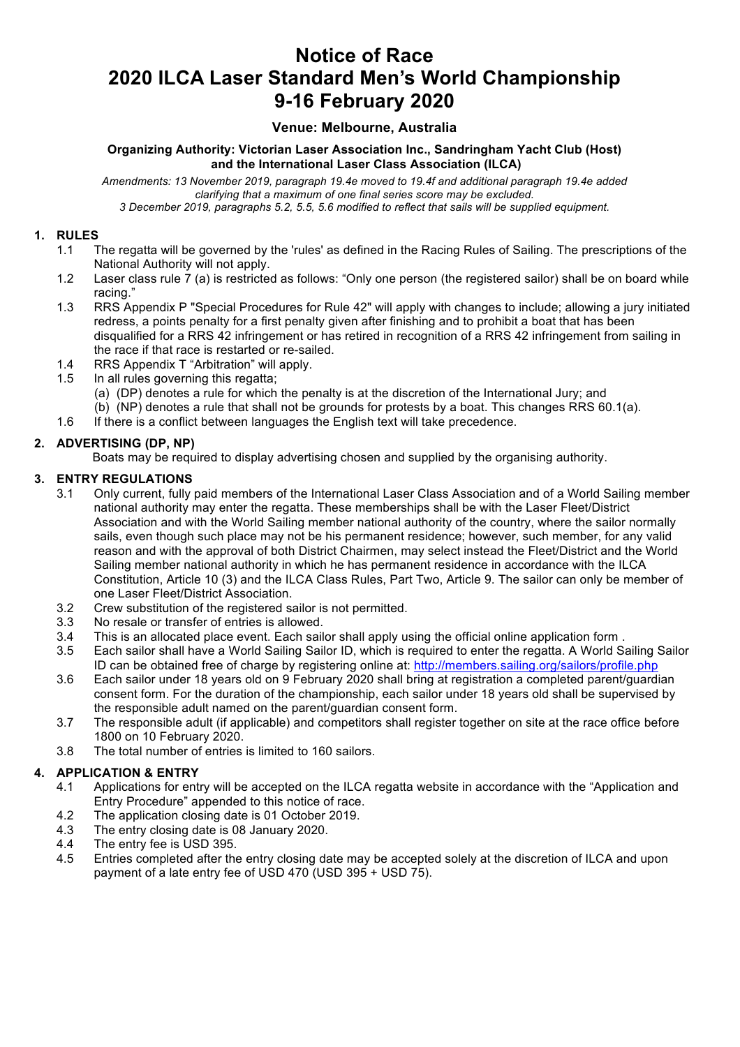# **Notice of Race 2020 ILCA Laser Standard Men's World Championship 9-16 February 2020**

# **Venue: Melbourne, Australia**

**Organizing Authority: Victorian Laser Association Inc., Sandringham Yacht Club (Host) and the International Laser Class Association (ILCA)**

*Amendments: 13 November 2019, paragraph 19.4e moved to 19.4f and additional paragraph 19.4e added clarifying that a maximum of one final series score may be excluded.*

# *3 December 2019, paragraphs 5.2, 5.5, 5.6 modified to reflect that sails will be supplied equipment.*

#### **1. RULES**

- 1.1 The regatta will be governed by the 'rules' as defined in the Racing Rules of Sailing. The prescriptions of the National Authority will not apply.
- 1.2 Laser class rule 7 (a) is restricted as follows: "Only one person (the registered sailor) shall be on board while racing."
- 1.3 RRS Appendix P "Special Procedures for Rule 42" will apply with changes to include; allowing a jury initiated redress, a points penalty for a first penalty given after finishing and to prohibit a boat that has been disqualified for a RRS 42 infringement or has retired in recognition of a RRS 42 infringement from sailing in the race if that race is restarted or re-sailed.
- 1.4 RRS Appendix T "Arbitration" will apply.
- 1.5 In all rules governing this regatta;
	- (a) (DP) denotes a rule for which the penalty is at the discretion of the International Jury; and
	- (b) (NP) denotes a rule that shall not be grounds for protests by a boat. This changes RRS 60.1(a).
- 1.6 If there is a conflict between languages the English text will take precedence.

# **2. ADVERTISING (DP, NP)**

Boats may be required to display advertising chosen and supplied by the organising authority.

# **3. ENTRY REGULATIONS**

- 3.1 Only current, fully paid members of the International Laser Class Association and of a World Sailing member national authority may enter the regatta. These memberships shall be with the Laser Fleet/District Association and with the World Sailing member national authority of the country, where the sailor normally sails, even though such place may not be his permanent residence; however, such member, for any valid reason and with the approval of both District Chairmen, may select instead the Fleet/District and the World Sailing member national authority in which he has permanent residence in accordance with the ILCA Constitution, Article 10 (3) and the ILCA Class Rules, Part Two, Article 9. The sailor can only be member of one Laser Fleet/District Association.
- 3.2 Crew substitution of the registered sailor is not permitted.
- 3.3 No resale or transfer of entries is allowed.
- 3.4 This is an allocated place event. Each sailor shall apply using the official online application form .
- 3.5 Each sailor shall have a World Sailing Sailor ID, which is required to enter the regatta. A World Sailing Sailor ID can be obtained free of charge by registering online at: http://members.sailing.org/sailors/profile.php
- 3.6 Each sailor under 18 years old on 9 February 2020 shall bring at registration a completed parent/guardian consent form. For the duration of the championship, each sailor under 18 years old shall be supervised by the responsible adult named on the parent/guardian consent form.
- 3.7 The responsible adult (if applicable) and competitors shall register together on site at the race office before 1800 on 10 February 2020.
- 3.8 The total number of entries is limited to 160 sailors.

# **4. APPLICATION & ENTRY**

- 4.1 Applications for entry will be accepted on the ILCA regatta website in accordance with the "Application and Entry Procedure" appended to this notice of race.
- 4.2 The application closing date is 01 October 2019.
- 4.3 The entry closing date is 08 January 2020.
- 4.4 The entry fee is USD 395.
- 4.5 Entries completed after the entry closing date may be accepted solely at the discretion of ILCA and upon payment of a late entry fee of USD 470 (USD 395 + USD 75).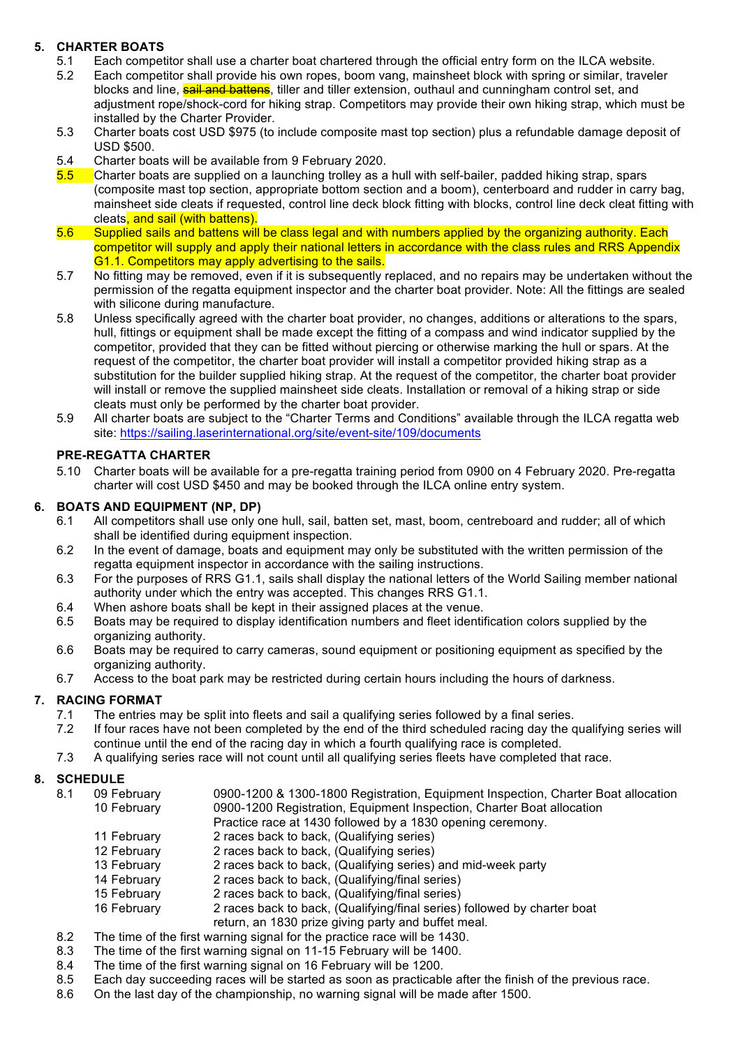# **5. CHARTER BOATS**

- 5.1 Each competitor shall use a charter boat chartered through the official entry form on the ILCA website.
- 5.2 Each competitor shall provide his own ropes, boom vang, mainsheet block with spring or similar, traveler blocks and line, **sail and battens**, tiller and tiller extension, outhaul and cunningham control set, and adjustment rope/shock-cord for hiking strap. Competitors may provide their own hiking strap, which must be installed by the Charter Provider.
- 5.3 Charter boats cost USD \$975 (to include composite mast top section) plus a refundable damage deposit of USD \$500.
- 5.4 Charter boats will be available from 9 February 2020.
- 5.5 Charter boats are supplied on a launching trolley as a hull with self-bailer, padded hiking strap, spars (composite mast top section, appropriate bottom section and a boom), centerboard and rudder in carry bag, mainsheet side cleats if requested, control line deck block fitting with blocks, control line deck cleat fitting with cleats, and sail (with battens).
- 5.6 Supplied sails and battens will be class legal and with numbers applied by the organizing authority. Each competitor will supply and apply their national letters in accordance with the class rules and RRS Appendix G1.1. Competitors may apply advertising to the sails.
- 5.7 No fitting may be removed, even if it is subsequently replaced, and no repairs may be undertaken without the permission of the regatta equipment inspector and the charter boat provider. Note: All the fittings are sealed with silicone during manufacture.
- 5.8 Unless specifically agreed with the charter boat provider, no changes, additions or alterations to the spars, hull, fittings or equipment shall be made except the fitting of a compass and wind indicator supplied by the competitor, provided that they can be fitted without piercing or otherwise marking the hull or spars. At the request of the competitor, the charter boat provider will install a competitor provided hiking strap as a substitution for the builder supplied hiking strap. At the request of the competitor, the charter boat provider will install or remove the supplied mainsheet side cleats. Installation or removal of a hiking strap or side cleats must only be performed by the charter boat provider.
- 5.9 All charter boats are subject to the "Charter Terms and Conditions" available through the ILCA regatta web site: https://sailing.laserinternational.org/site/event-site/109/documents

# **PRE-REGATTA CHARTER**

5.10 Charter boats will be available for a pre-regatta training period from 0900 on 4 February 2020. Pre-regatta charter will cost USD \$450 and may be booked through the ILCA online entry system.

# **6. BOATS AND EQUIPMENT (NP, DP)**

- 6.1 All competitors shall use only one hull, sail, batten set, mast, boom, centreboard and rudder; all of which shall be identified during equipment inspection.
- 6.2 In the event of damage, boats and equipment may only be substituted with the written permission of the regatta equipment inspector in accordance with the sailing instructions.
- 6.3 For the purposes of RRS G1.1, sails shall display the national letters of the World Sailing member national authority under which the entry was accepted. This changes RRS G1.1.
- 6.4 When ashore boats shall be kept in their assigned places at the venue.
- 6.5 Boats may be required to display identification numbers and fleet identification colors supplied by the organizing authority.
- 6.6 Boats may be required to carry cameras, sound equipment or positioning equipment as specified by the organizing authority.
- 6.7 Access to the boat park may be restricted during certain hours including the hours of darkness.

# **7. RACING FORMAT**

- 7.1 The entries may be split into fleets and sail a qualifying series followed by a final series.
- 7.2 If four races have not been completed by the end of the third scheduled racing day the qualifying series will continue until the end of the racing day in which a fourth qualifying race is completed.
- 7.3 A qualifying series race will not count until all qualifying series fleets have completed that race.

# **8. SCHEDULE**

- 8.1 09 February 0900-1200 & 1300-1800 Registration, Equipment Inspection, Charter Boat allocation 10 February 0900-1200 Registration, Equipment Inspection, Charter Boat allocation
	- Practice race at 1430 followed by a 1830 opening ceremony.
	- 11 February 2 races back to back, (Qualifying series)
	- 12 February 2 races back to back, (Qualifying series)
	- 13 February 2 races back to back, (Qualifying series) and mid-week party
	- 14 February 2 races back to back, (Qualifying/final series)
	- 15 February 2 races back to back, (Qualifying/final series)
	- 16 February 2 races back to back, (Qualifying/final series) followed by charter boat return, an 1830 prize giving party and buffet meal.
- 8.2 The time of the first warning signal for the practice race will be 1430.
- 8.3 The time of the first warning signal on 11-15 February will be 1400.
- 8.4 The time of the first warning signal on 16 February will be 1200.
- 8.5 Each day succeeding races will be started as soon as practicable after the finish of the previous race.
- 8.6 On the last day of the championship, no warning signal will be made after 1500.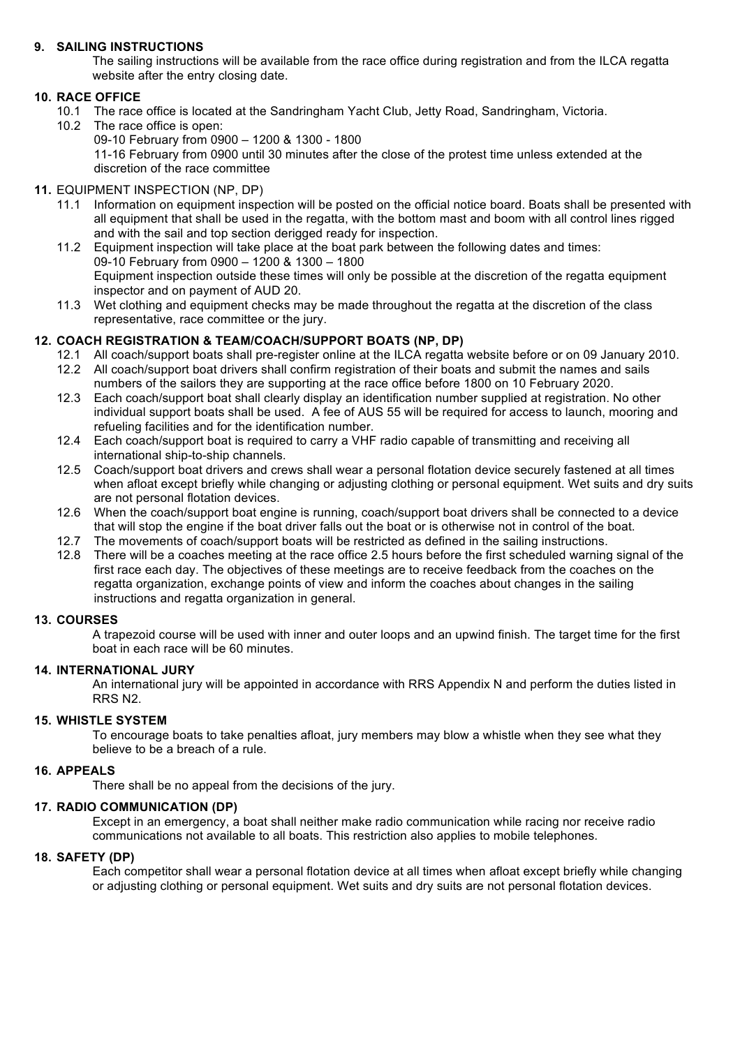# **9. SAILING INSTRUCTIONS**

The sailing instructions will be available from the race office during registration and from the ILCA regatta website after the entry closing date.

# **10. RACE OFFICE**

- 10.1 The race office is located at the Sandringham Yacht Club, Jetty Road, Sandringham, Victoria.
- 10.2 The race office is open:
	- 09-10 February from 0900 1200 & 1300 1800

11-16 February from 0900 until 30 minutes after the close of the protest time unless extended at the discretion of the race committee

#### **11.** EQUIPMENT INSPECTION (NP, DP)

- 11.1 Information on equipment inspection will be posted on the official notice board. Boats shall be presented with all equipment that shall be used in the regatta, with the bottom mast and boom with all control lines rigged and with the sail and top section derigged ready for inspection.
- 11.2 Equipment inspection will take place at the boat park between the following dates and times: 09-10 February from 0900 – 1200 & 1300 – 1800 Equipment inspection outside these times will only be possible at the discretion of the regatta equipment inspector and on payment of AUD 20.
- 11.3 Wet clothing and equipment checks may be made throughout the regatta at the discretion of the class representative, race committee or the jury.

# **12. COACH REGISTRATION & TEAM/COACH/SUPPORT BOATS (NP, DP)**

- 12.1 All coach/support boats shall pre-register online at the ILCA regatta website before or on 09 January 2010. 12.2 All coach/support boat drivers shall confirm registration of their boats and submit the names and sails
- numbers of the sailors they are supporting at the race office before 1800 on 10 February 2020. 12.3 Each coach/support boat shall clearly display an identification number supplied at registration. No other
- individual support boats shall be used. A fee of AUS 55 will be required for access to launch, mooring and refueling facilities and for the identification number.
- 12.4 Each coach/support boat is required to carry a VHF radio capable of transmitting and receiving all international ship-to-ship channels.
- 12.5 Coach/support boat drivers and crews shall wear a personal flotation device securely fastened at all times when afloat except briefly while changing or adjusting clothing or personal equipment. Wet suits and dry suits are not personal flotation devices.
- 12.6 When the coach/support boat engine is running, coach/support boat drivers shall be connected to a device that will stop the engine if the boat driver falls out the boat or is otherwise not in control of the boat.
- 12.7 The movements of coach/support boats will be restricted as defined in the sailing instructions.
- 12.8 There will be a coaches meeting at the race office 2.5 hours before the first scheduled warning signal of the first race each day. The objectives of these meetings are to receive feedback from the coaches on the regatta organization, exchange points of view and inform the coaches about changes in the sailing instructions and regatta organization in general.

#### **13. COURSES**

A trapezoid course will be used with inner and outer loops and an upwind finish. The target time for the first boat in each race will be 60 minutes.

#### **14. INTERNATIONAL JURY**

An international jury will be appointed in accordance with RRS Appendix N and perform the duties listed in RRS N2.

#### **15. WHISTLE SYSTEM**

To encourage boats to take penalties afloat, jury members may blow a whistle when they see what they believe to be a breach of a rule.

#### **16. APPEALS**

There shall be no appeal from the decisions of the jury.

#### **17. RADIO COMMUNICATION (DP)**

Except in an emergency, a boat shall neither make radio communication while racing nor receive radio communications not available to all boats. This restriction also applies to mobile telephones.

#### **18. SAFETY (DP)**

Each competitor shall wear a personal flotation device at all times when afloat except briefly while changing or adjusting clothing or personal equipment. Wet suits and dry suits are not personal flotation devices.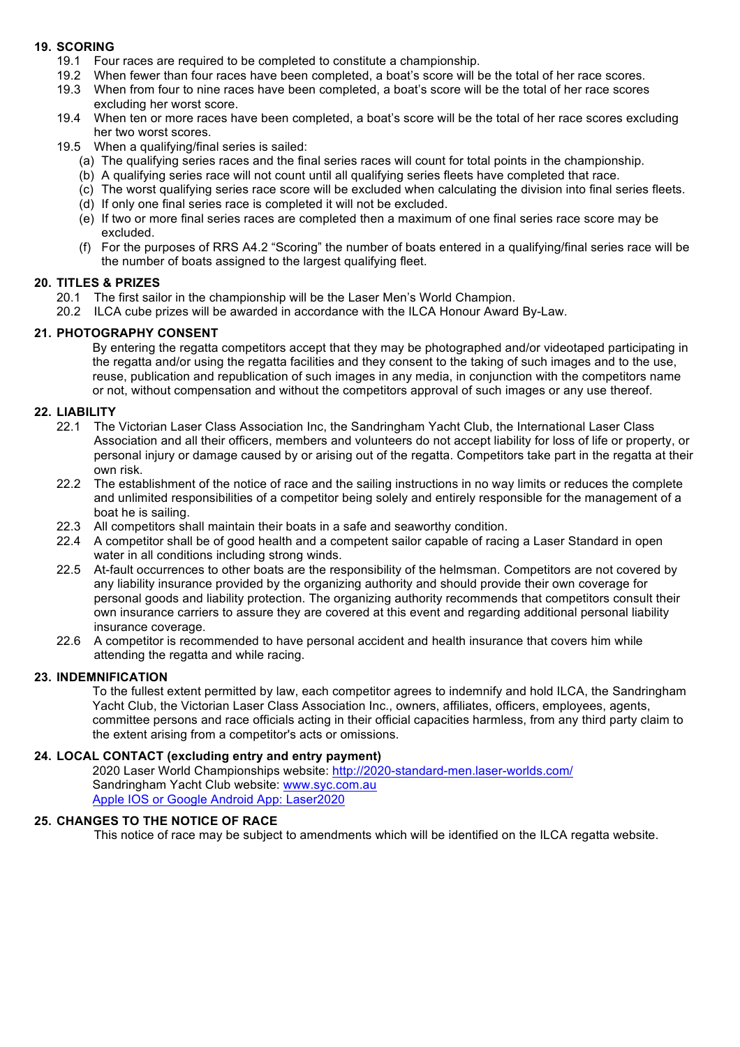# **19. SCORING**

- 19.1 Four races are required to be completed to constitute a championship.
- 19.2 When fewer than four races have been completed, a boat's score will be the total of her race scores.
- 19.3 When from four to nine races have been completed, a boat's score will be the total of her race scores excluding her worst score.
- 19.4 When ten or more races have been completed, a boat's score will be the total of her race scores excluding her two worst scores.
- 19.5 When a qualifying/final series is sailed:
	- (a) The qualifying series races and the final series races will count for total points in the championship.
	- (b) A qualifying series race will not count until all qualifying series fleets have completed that race.
	- (c) The worst qualifying series race score will be excluded when calculating the division into final series fleets.
	- (d) If only one final series race is completed it will not be excluded.
	- (e) If two or more final series races are completed then a maximum of one final series race score may be excluded.
	- (f) For the purposes of RRS A4.2 "Scoring" the number of boats entered in a qualifying/final series race will be the number of boats assigned to the largest qualifying fleet.

#### **20. TITLES & PRIZES**

- 20.1 The first sailor in the championship will be the Laser Men's World Champion.
- 20.2 ILCA cube prizes will be awarded in accordance with the ILCA Honour Award By-Law.

#### **21. PHOTOGRAPHY CONSENT**

By entering the regatta competitors accept that they may be photographed and/or videotaped participating in the regatta and/or using the regatta facilities and they consent to the taking of such images and to the use, reuse, publication and republication of such images in any media, in conjunction with the competitors name or not, without compensation and without the competitors approval of such images or any use thereof.

#### **22. LIABILITY**

- 22.1 The Victorian Laser Class Association Inc, the Sandringham Yacht Club, the International Laser Class Association and all their officers, members and volunteers do not accept liability for loss of life or property, or personal injury or damage caused by or arising out of the regatta. Competitors take part in the regatta at their own risk.
- 22.2 The establishment of the notice of race and the sailing instructions in no way limits or reduces the complete and unlimited responsibilities of a competitor being solely and entirely responsible for the management of a boat he is sailing.
- 22.3 All competitors shall maintain their boats in a safe and seaworthy condition.
- 22.4 A competitor shall be of good health and a competent sailor capable of racing a Laser Standard in open water in all conditions including strong winds.
- 22.5 At-fault occurrences to other boats are the responsibility of the helmsman. Competitors are not covered by any liability insurance provided by the organizing authority and should provide their own coverage for personal goods and liability protection. The organizing authority recommends that competitors consult their own insurance carriers to assure they are covered at this event and regarding additional personal liability insurance coverage.
- 22.6 A competitor is recommended to have personal accident and health insurance that covers him while attending the regatta and while racing.

#### **23. INDEMNIFICATION**

To the fullest extent permitted by law, each competitor agrees to indemnify and hold ILCA, the Sandringham Yacht Club, the Victorian Laser Class Association Inc., owners, affiliates, officers, employees, agents, committee persons and race officials acting in their official capacities harmless, from any third party claim to the extent arising from a competitor's acts or omissions.

#### **24. LOCAL CONTACT (excluding entry and entry payment)**

2020 Laser World Championships website: http://2020-standard-men.laser-worlds.com/ Sandringham Yacht Club website: www.syc.com.au Apple IOS or Google Android App: Laser2020

#### **25. CHANGES TO THE NOTICE OF RACE**

This notice of race may be subject to amendments which will be identified on the ILCA regatta website.